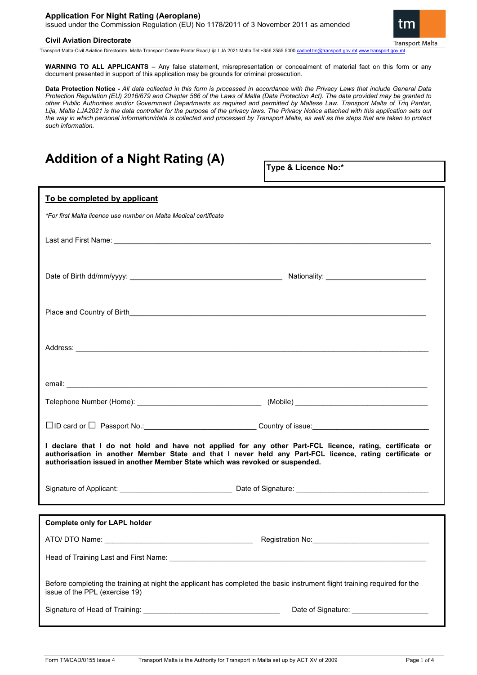## **Application For Night Rating (Aeroplane)**

issued under the Commission Regulation (EU) No 1178/2011 of 3 November 2011 as amended



**Civil Aviation Directorate** 

Transport Malta-Civil Aviation Directorate, Malta Transport Centre,Pantar Road,Lija LJA 2021 Malta.Tel:+356 2555 5000 [cadpel.tm@transport.gov.mt](mailto:cadpel.tm@transport.gov.mt) www.tr

**WARNING TO ALL APPLICANTS** – Any false statement, misrepresentation or concealment of material fact on this form or any document presented in support of this application may be grounds for criminal prosecution.

**Data Protection Notice -** *All data collected in this form is processed in accordance with the Privacy Laws that include General Data Protection Regulation (EU) 2016/679 and Chapter 586 of the Laws of Malta (Data Protection Act). The data provided may be granted to other Public Authorities and/or Government Departments as required and permitted by Maltese Law. Transport Malta of Triq Pantar, Lija, Malta LJA2021 is the data controller for the purpose of the privacy laws. The Privacy Notice attached with this application sets out the way in which personal information/data is collected and processed by Transport Malta, as well as the steps that are taken to protect such information.*

## **Addition of a Night Rating (A)**

**Type & Licence No:\***

| To be completed by applicant                                                                                                                                                                                                                                                                        |                                                                                                                 |
|-----------------------------------------------------------------------------------------------------------------------------------------------------------------------------------------------------------------------------------------------------------------------------------------------------|-----------------------------------------------------------------------------------------------------------------|
| *For first Malta licence use number on Malta Medical certificate                                                                                                                                                                                                                                    |                                                                                                                 |
| Last and First Name: <u>Communications and the communications</u> and the communications of the communications of the communications of the communications of the communications of the communications of the communications of the                                                                 |                                                                                                                 |
|                                                                                                                                                                                                                                                                                                     |                                                                                                                 |
|                                                                                                                                                                                                                                                                                                     |                                                                                                                 |
|                                                                                                                                                                                                                                                                                                     |                                                                                                                 |
|                                                                                                                                                                                                                                                                                                     |                                                                                                                 |
|                                                                                                                                                                                                                                                                                                     |                                                                                                                 |
|                                                                                                                                                                                                                                                                                                     | □ID card or □ Passport No.: __________________________________Country of issue: _______________________________ |
| I declare that I do not hold and have not applied for any other Part-FCL licence, rating, certificate or<br>authorisation in another Member State and that I never held any Part-FCL licence, rating certificate or<br>authorisation issued in another Member State which was revoked or suspended. |                                                                                                                 |
|                                                                                                                                                                                                                                                                                                     |                                                                                                                 |
| <b>Complete only for LAPL holder</b>                                                                                                                                                                                                                                                                |                                                                                                                 |
| ATO/DTO Name:                                                                                                                                                                                                                                                                                       |                                                                                                                 |
|                                                                                                                                                                                                                                                                                                     |                                                                                                                 |
| Before completing the training at night the applicant has completed the basic instrument flight training required for the<br>issue of the PPL (exercise 19)                                                                                                                                         |                                                                                                                 |
|                                                                                                                                                                                                                                                                                                     | Date of Signature: _____________________                                                                        |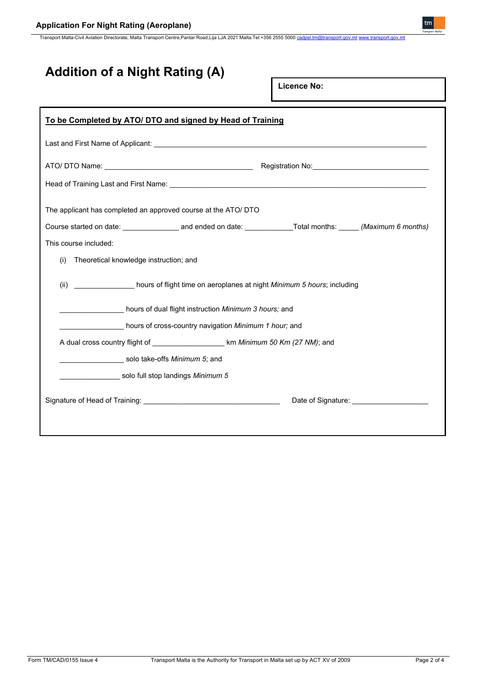## **Application For Night Rating (Aeroplane)**

Transport Malta-Civil Aviation Directorate, Malta Transport Centre,Pantar Road,Lija LJA 2021 Malta.Tel:+356 2555 5000 [cadpel.tm@transport.gov.mt](mailto:cadpel.tm@transport.gov.mt) [www.transport.gov.mt](http://www.transport.gov.mt/)

# **Addition of a Night Rating (A)**

| <b>Licence No:</b>                                                             |
|--------------------------------------------------------------------------------|
| To be Completed by ATO/ DTO and signed by Head of Training                     |
|                                                                                |
|                                                                                |
|                                                                                |
| The applicant has completed an approved course at the ATO/ DTO                 |
| Course started on date: end and ended on date: Total months: Maximum 6 months) |
| This course included:                                                          |
| Theoretical knowledge instruction; and<br>(i)                                  |
| hours of flight time on aeroplanes at night Minimum 5 hours; including<br>(ii) |
| hours of dual flight instruction Minimum 3 hours; and                          |
| hours of cross-country navigation Minimum 1 hour; and                          |
| A dual cross country flight of km Minimum 50 Km (27 NM); and                   |
| solo take-offs Minimum 5; and                                                  |
| solo full stop landings Minimum 5                                              |
| Date of Signature: ______________                                              |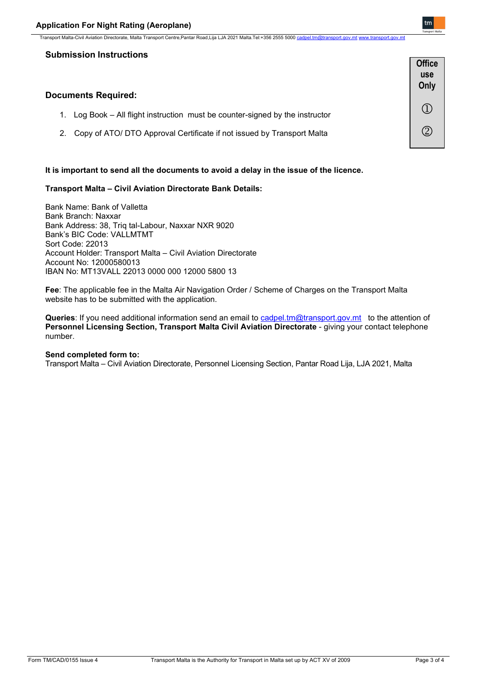Transport Malta-Civil Aviation Directorate, Malta Transport Centre,Pantar Road,Lija LJA 2021 Malta.Tel:+356 2555 5000 <u>c</u>

## **Submission Instructions**

## **Documents Required:**

- 1. Log Book All flight instruction must be counter-signed by the instructor
- 2. Copy of ATO/ DTO Approval Certificate if not issued by Transport Malta

### **It is important to send all the documents to avoid a delay in the issue of the licence.**

## **Transport Malta – Civil Aviation Directorate Bank Details:**

Bank Name: Bank of Valletta Bank Branch: Naxxar Bank Address: 38, Triq tal-Labour, Naxxar NXR 9020 Bank's BIC Code: VALLMTMT Sort Code: 22013 Account Holder: Transport Malta – Civil Aviation Directorate Account No: 12000580013 IBAN No: MT13VALL 22013 0000 000 12000 5800 13

**Fee**: The applicable fee in the Malta Air Navigation Order / Scheme of Charges on the Transport Malta website has to be submitted with the application.

**Queries**: If you need additional information send an email to [cadpel.tm@transport.gov.mt](mailto:cadpel.tm@transport.gov.mt) to the attention of **Personnel Licensing Section, Transport Malta Civil Aviation Directorate** - giving your contact telephone number.

### **Send completed form to:**

Transport Malta – Civil Aviation Directorate, Personnel Licensing Section, Pantar Road Lija, LJA 2021, Malta